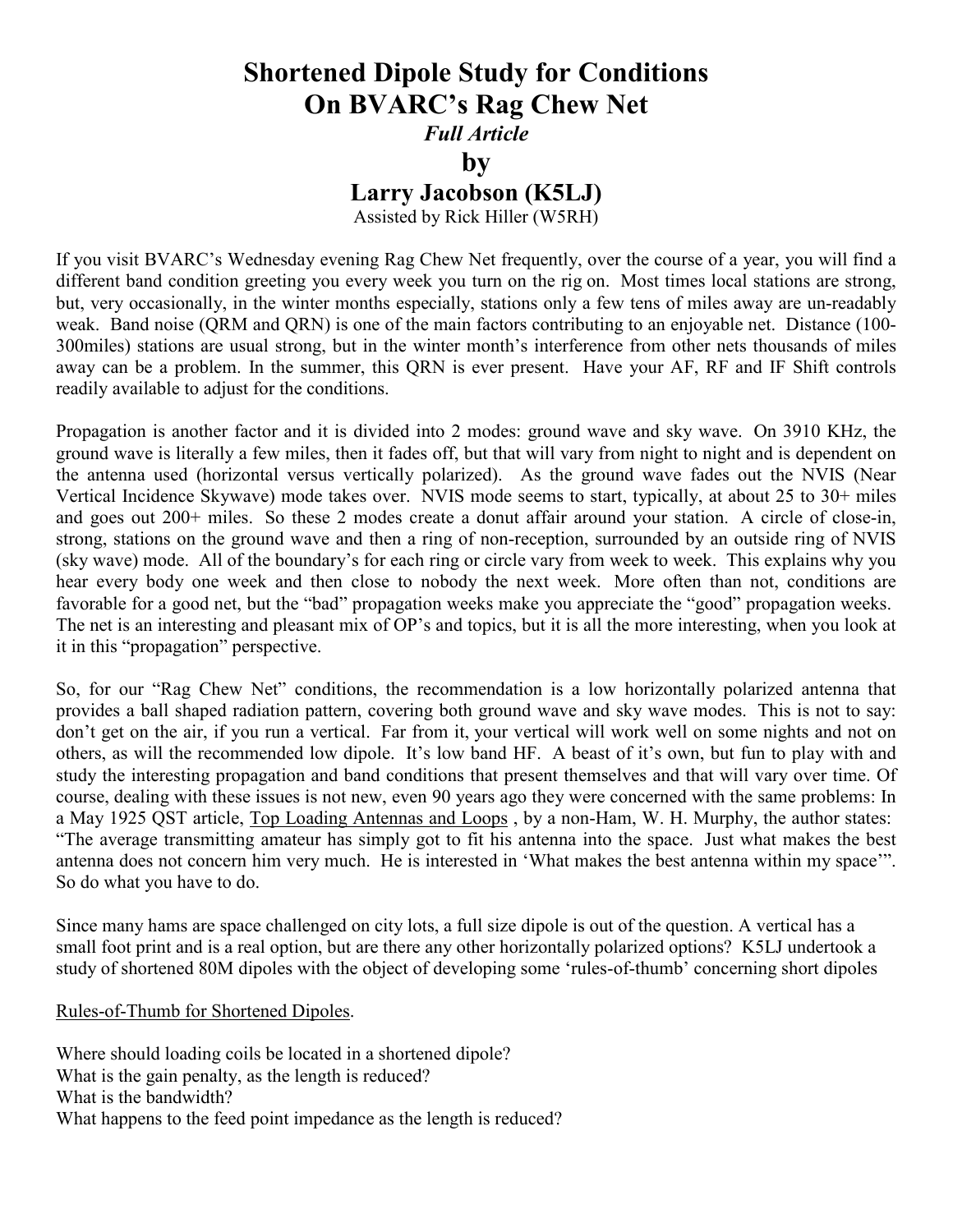## Shortened Dipole Study for Conditions On BVARC's Rag Chew Net

Full Article

by

## Larry Jacobson (K5LJ)

Assisted by Rick Hiller (W5RH)

If you visit BVARC's Wednesday evening Rag Chew Net frequently, over the course of a year, you will find a different band condition greeting you every week you turn on the rig on. Most times local stations are strong, but, very occasionally, in the winter months especially, stations only a few tens of miles away are un-readably weak. Band noise (QRM and QRN) is one of the main factors contributing to an enjoyable net. Distance (100- 300miles) stations are usual strong, but in the winter month's interference from other nets thousands of miles away can be a problem. In the summer, this QRN is ever present. Have your AF, RF and IF Shift controls readily available to adjust for the conditions.

Propagation is another factor and it is divided into 2 modes: ground wave and sky wave. On 3910 KHz, the ground wave is literally a few miles, then it fades off, but that will vary from night to night and is dependent on the antenna used (horizontal versus vertically polarized). As the ground wave fades out the NVIS (Near Vertical Incidence Skywave) mode takes over. NVIS mode seems to start, typically, at about 25 to 30+ miles and goes out 200+ miles. So these 2 modes create a donut affair around your station. A circle of close-in, strong, stations on the ground wave and then a ring of non-reception, surrounded by an outside ring of NVIS (sky wave) mode. All of the boundary's for each ring or circle vary from week to week. This explains why you hear every body one week and then close to nobody the next week. More often than not, conditions are favorable for a good net, but the "bad" propagation weeks make you appreciate the "good" propagation weeks. The net is an interesting and pleasant mix of OP's and topics, but it is all the more interesting, when you look at it in this "propagation" perspective.

So, for our "Rag Chew Net" conditions, the recommendation is a low horizontally polarized antenna that provides a ball shaped radiation pattern, covering both ground wave and sky wave modes. This is not to say: don't get on the air, if you run a vertical. Far from it, your vertical will work well on some nights and not on others, as will the recommended low dipole. It's low band HF. A beast of it's own, but fun to play with and study the interesting propagation and band conditions that present themselves and that will vary over time. Of course, dealing with these issues is not new, even 90 years ago they were concerned with the same problems: In a May 1925 QST article, Top Loading Antennas and Loops , by a non-Ham, W. H. Murphy, the author states: "The average transmitting amateur has simply got to fit his antenna into the space. Just what makes the best antenna does not concern him very much. He is interested in 'What makes the best antenna within my space'". So do what you have to do.

Since many hams are space challenged on city lots, a full size dipole is out of the question. A vertical has a small foot print and is a real option, but are there any other horizontally polarized options? K5LJ undertook a study of shortened 80M dipoles with the object of developing some 'rules-of-thumb' concerning short dipoles

## Rules-of-Thumb for Shortened Dipoles.

Where should loading coils be located in a shortened dipole? What is the gain penalty, as the length is reduced? What is the bandwidth? What happens to the feed point impedance as the length is reduced?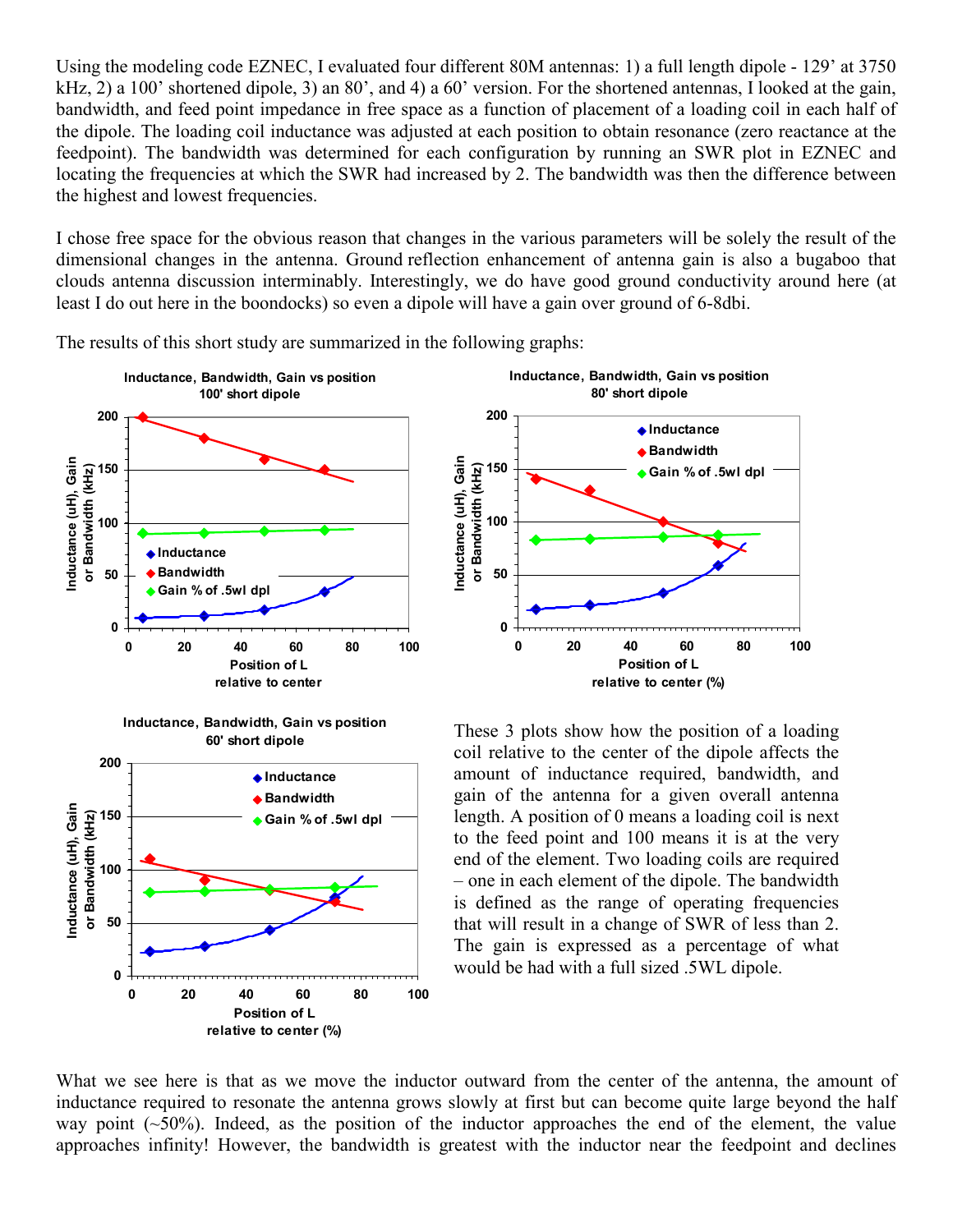Using the modeling code EZNEC, I evaluated four different 80M antennas: 1) a full length dipole - 129' at 3750 kHz, 2) a 100' shortened dipole, 3) an 80', and 4) a 60' version. For the shortened antennas, I looked at the gain, bandwidth, and feed point impedance in free space as a function of placement of a loading coil in each half of the dipole. The loading coil inductance was adjusted at each position to obtain resonance (zero reactance at the feedpoint). The bandwidth was determined for each configuration by running an SWR plot in EZNEC and locating the frequencies at which the SWR had increased by 2. The bandwidth was then the difference between the highest and lowest frequencies.

I chose free space for the obvious reason that changes in the various parameters will be solely the result of the dimensional changes in the antenna. Ground reflection enhancement of antenna gain is also a bugaboo that clouds antenna discussion interminably. Interestingly, we do have good ground conductivity around here (at least I do out here in the boondocks) so even a dipole will have a gain over ground of 6-8dbi.



The results of this short study are summarized in the following graphs:

These 3 plots show how the position of a loading coil relative to the center of the dipole affects the amount of inductance required, bandwidth, and gain of the antenna for a given overall antenna length. A position of 0 means a loading coil is next to the feed point and 100 means it is at the very end of the element. Two loading coils are required – one in each element of the dipole. The bandwidth is defined as the range of operating frequencies that will result in a change of SWR of less than 2. The gain is expressed as a percentage of what would be had with a full sized .5WL dipole.



What we see here is that as we move the inductor outward from the center of the antenna, the amount of inductance required to resonate the antenna grows slowly at first but can become quite large beyond the half way point  $(\sim 50\%)$ . Indeed, as the position of the inductor approaches the end of the element, the value approaches infinity! However, the bandwidth is greatest with the inductor near the feedpoint and declines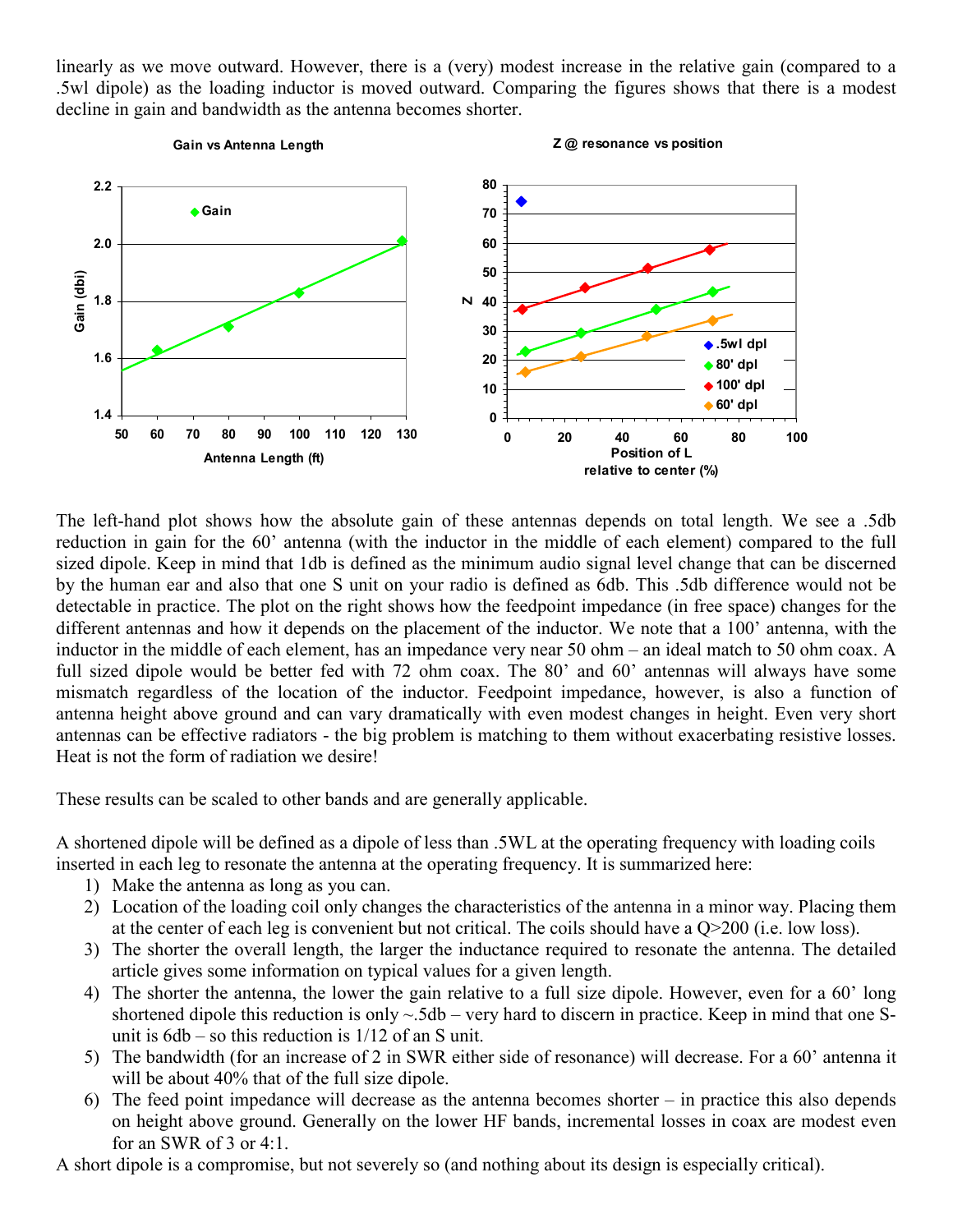linearly as we move outward. However, there is a (very) modest increase in the relative gain (compared to a .5wl dipole) as the loading inductor is moved outward. Comparing the figures shows that there is a modest decline in gain and bandwidth as the antenna becomes shorter.



The left-hand plot shows how the absolute gain of these antennas depends on total length. We see a .5db reduction in gain for the 60' antenna (with the inductor in the middle of each element) compared to the full sized dipole. Keep in mind that 1db is defined as the minimum audio signal level change that can be discerned by the human ear and also that one S unit on your radio is defined as 6db. This .5db difference would not be detectable in practice. The plot on the right shows how the feedpoint impedance (in free space) changes for the different antennas and how it depends on the placement of the inductor. We note that a 100' antenna, with the inductor in the middle of each element, has an impedance very near 50 ohm – an ideal match to 50 ohm coax. A full sized dipole would be better fed with 72 ohm coax. The 80' and 60' antennas will always have some mismatch regardless of the location of the inductor. Feedpoint impedance, however, is also a function of antenna height above ground and can vary dramatically with even modest changes in height. Even very short antennas can be effective radiators - the big problem is matching to them without exacerbating resistive losses. Heat is not the form of radiation we desire!

These results can be scaled to other bands and are generally applicable.

A shortened dipole will be defined as a dipole of less than .5WL at the operating frequency with loading coils inserted in each leg to resonate the antenna at the operating frequency. It is summarized here:

- 1) Make the antenna as long as you can.
- 2) Location of the loading coil only changes the characteristics of the antenna in a minor way. Placing them at the center of each leg is convenient but not critical. The coils should have a Q>200 (i.e. low loss).
- 3) The shorter the overall length, the larger the inductance required to resonate the antenna. The detailed article gives some information on typical values for a given length.
- 4) The shorter the antenna, the lower the gain relative to a full size dipole. However, even for a 60' long shortened dipole this reduction is only  $\sim$  5db – very hard to discern in practice. Keep in mind that one Sunit is  $6db - so$  this reduction is  $1/12$  of an S unit.
- 5) The bandwidth (for an increase of 2 in SWR either side of resonance) will decrease. For a 60' antenna it will be about 40% that of the full size dipole.
- 6) The feed point impedance will decrease as the antenna becomes shorter in practice this also depends on height above ground. Generally on the lower HF bands, incremental losses in coax are modest even for an SWR of 3 or 4:1.

A short dipole is a compromise, but not severely so (and nothing about its design is especially critical).